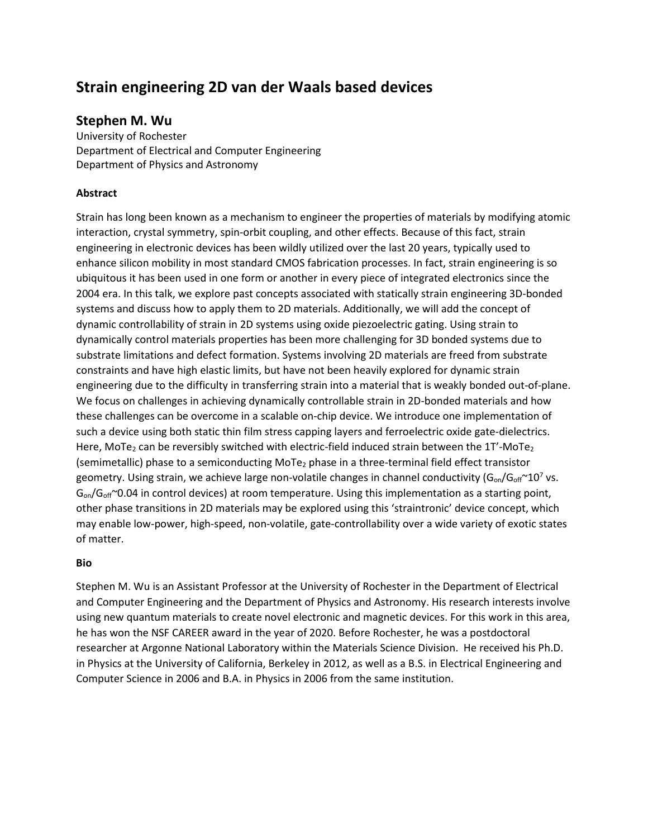# **Strain engineering 2D van der Waals based devices**

## **Stephen M. Wu**

University of Rochester Department of Electrical and Computer Engineering Department of Physics and Astronomy

### **Abstract**

Strain has long been known as a mechanism to engineer the properties of materials by modifying atomic interaction, crystal symmetry, spin-orbit coupling, and other effects. Because of this fact, strain engineering in electronic devices has been wildly utilized over the last 20 years, typically used to enhance silicon mobility in most standard CMOS fabrication processes. In fact, strain engineering is so ubiquitous it has been used in one form or another in every piece of integrated electronics since the 2004 era. In this talk, we explore past concepts associated with statically strain engineering 3D-bonded systems and discuss how to apply them to 2D materials. Additionally, we will add the concept of dynamic controllability of strain in 2D systems using oxide piezoelectric gating. Using strain to dynamically control materials properties has been more challenging for 3D bonded systems due to substrate limitations and defect formation. Systems involving 2D materials are freed from substrate constraints and have high elastic limits, but have not been heavily explored for dynamic strain engineering due to the difficulty in transferring strain into a material that is weakly bonded out-of-plane. We focus on challenges in achieving dynamically controllable strain in 2D-bonded materials and how these challenges can be overcome in a scalable on-chip device. We introduce one implementation of such a device using both static thin film stress capping layers and ferroelectric oxide gate-dielectrics. Here, MoTe<sub>2</sub> can be reversibly switched with electric-field induced strain between the 1T'-MoTe<sub>2</sub> (semimetallic) phase to a semiconducting MoTe<sub>2</sub> phase in a three-terminal field effect transistor geometry. Using strain, we achieve large non-volatile changes in channel conductivity  $(G_{on}/G_{off}^{\sim}10^{7}$  vs.  $G_{on}/G_{off}$  ~0.04 in control devices) at room temperature. Using this implementation as a starting point, other phase transitions in 2D materials may be explored using this 'straintronic' device concept, which may enable low-power, high-speed, non-volatile, gate-controllability over a wide variety of exotic states of matter.

#### **Bio**

Stephen M. Wu is an Assistant Professor at the University of Rochester in the Department of Electrical and Computer Engineering and the Department of Physics and Astronomy. His research interests involve using new quantum materials to create novel electronic and magnetic devices. For this work in this area, he has won the NSF CAREER award in the year of 2020. Before Rochester, he was a postdoctoral researcher at Argonne National Laboratory within the Materials Science Division. He received his Ph.D. in Physics at the University of California, Berkeley in 2012, as well as a B.S. in Electrical Engineering and Computer Science in 2006 and B.A. in Physics in 2006 from the same institution.